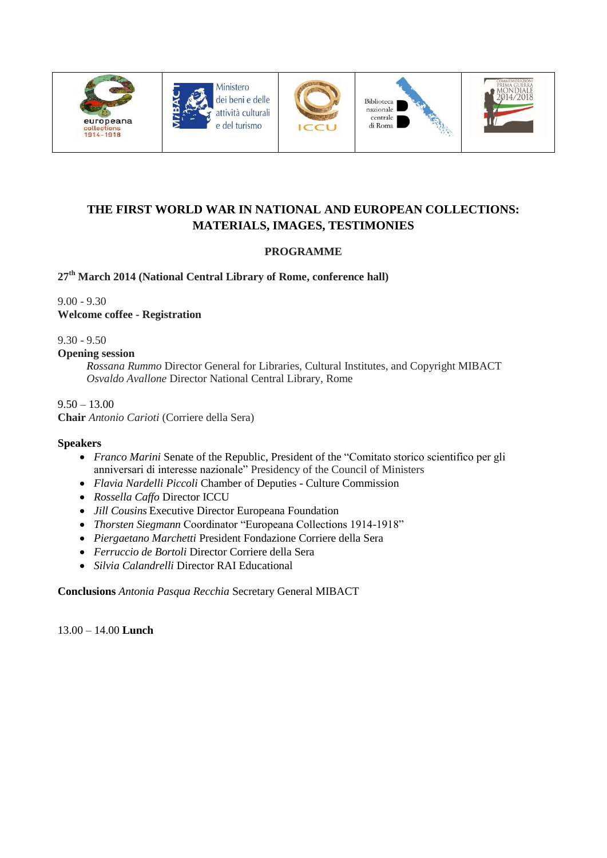









# **THE FIRST WORLD WAR IN NATIONAL AND EUROPEAN COLLECTIONS: MATERIALS, IMAGES, TESTIMONIES**

## **PROGRAMME**

## **27th March 2014 (National Central Library of Rome, conference hall)**

9.00 - 9.30 **Welcome coffee - Registration**

9.30 - 9.50

#### **Opening session**

*Rossana Rummo* Director General for Libraries, Cultural Institutes, and Copyright MIBACT *Osvaldo Avallone* Director National Central Library, Rome

### $9.50 - 13.00$

**Chair** *Antonio Carioti* (Corriere della Sera)

#### **Speakers**

- *Franco Marini* Senate of the Republic, President of the "Comitato storico scientifico per gli anniversari di interesse nazionale" Presidency of the Council of Ministers
- *Flavia Nardelli Piccoli* Chamber of Deputies Culture Commission
- *Rossella Caffo* Director ICCU
- *Jill Cousins* Executive Director Europeana Foundation
- *Thorsten Siegmann* Coordinator "Europeana Collections 1914-1918"
- *Piergaetano Marchetti* President Fondazione Corriere della Sera
- *Ferruccio de Bortoli* Director Corriere della Sera
- *Silvia Calandrelli* Director RAI Educational

**Conclusions** *Antonia Pasqua Recchia* Secretary General MIBACT

13.00 – 14.00 **Lunch**